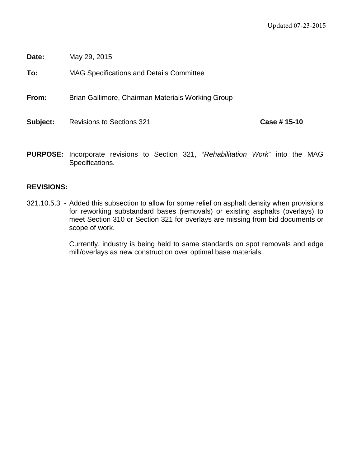**Date:** May 29, 2015

**To:** MAG Specifications and Details Committee

**From:** Brian Gallimore, Chairman Materials Working Group

**Subject:** Revisions to Sections 321 **Case # 15-10** 

**PURPOSE:** Incorporate revisions to Section 321, "*Rehabilitation Work*" into the MAG Specifications.

# **REVISIONS:**

321.10.5.3 - Added this subsection to allow for some relief on asphalt density when provisions for reworking substandard bases (removals) or existing asphalts (overlays) to meet Section 310 or Section 321 for overlays are missing from bid documents or scope of work.

> Currently, industry is being held to same standards on spot removals and edge mill/overlays as new construction over optimal base materials.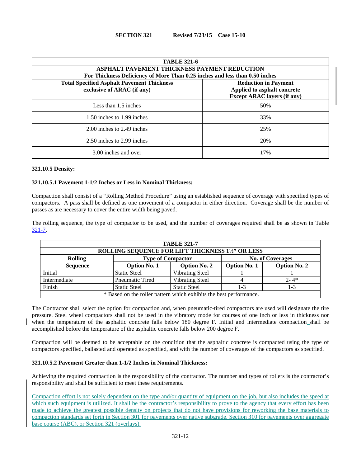| <b>TABLE 321-6</b><br><b>ASPHALT PAVEMENT THICKNESS PAYMENT REDUCTION</b><br>For Thickness Deficiency of More Than 0.25 inches and less than 0.50 inches |                                                                                                  |  |  |  |
|----------------------------------------------------------------------------------------------------------------------------------------------------------|--------------------------------------------------------------------------------------------------|--|--|--|
| <b>Total Specified Asphalt Pavement Thickness</b><br>exclusive of ARAC (if any)                                                                          | <b>Reduction in Payment</b><br>Applied to asphalt concrete<br><b>Except ARAC layers (if any)</b> |  |  |  |
| Less than 1.5 inches                                                                                                                                     | 50%                                                                                              |  |  |  |
| 1.50 inches to 1.99 inches                                                                                                                               | 33%                                                                                              |  |  |  |
| 2.00 inches to 2.49 inches                                                                                                                               | 25%                                                                                              |  |  |  |
| 2.50 inches to 2.99 inches                                                                                                                               | 20%                                                                                              |  |  |  |
| 3.00 inches and over                                                                                                                                     | 17%                                                                                              |  |  |  |

### **321.10.5 Density:**

### **321.10.5.1 Pavement 1-1/2 Inches or Less in Nominal Thickness:**

Compaction shall consist of a "Rolling Method Procedure" using an established sequence of coverage with specified types of compactors. A pass shall be defined as one movement of a compactor in either direction. Coverage shall be the number of passes as are necessary to cover the entire width being paved.

The rolling sequence, the type of compactor to be used, and the number of coverages required shall be as shown in Table [321-7.](#page-1-0)

<span id="page-1-0"></span>

| <b>TABLE 321-7</b>                                                 |                          |                     |                         |                     |  |
|--------------------------------------------------------------------|--------------------------|---------------------|-------------------------|---------------------|--|
| ROLLING SEQUENCE FOR LIFT THICKNESS 11/2" OR LESS                  |                          |                     |                         |                     |  |
| <b>Rolling</b>                                                     | <b>Type of Compactor</b> |                     | <b>No. of Coverages</b> |                     |  |
| <b>Sequence</b>                                                    | <b>Option No. 1</b>      | <b>Option No. 2</b> | <b>Option No. 1</b>     | <b>Option No. 2</b> |  |
| Initial                                                            | <b>Static Steel</b>      | Vibrating Steel     |                         |                     |  |
| Intermediate                                                       | Pneumatic Tired          | Vibrating Steel     |                         | $2 - 4*$            |  |
| Finish                                                             | <b>Static Steel</b>      | <b>Static Steel</b> | 1-3                     | $1 - 3$             |  |
| * Based on the roller pattern which exhibits the best performance. |                          |                     |                         |                     |  |

The Contractor shall select the option for compaction and, when pneumatic-tired compactors are used will designate the tire pressure. Steel wheel compactors shall not be used in the vibratory mode for courses of one inch or less in thickness nor when the temperature of the asphaltic concrete falls below 180 degree F. Initial and intermediate compaction shall be accomplished before the temperature of the asphaltic concrete falls below 200 degree F.

Compaction will be deemed to be acceptable on the condition that the asphaltic concrete is compacted using the type of compactors specified, ballasted and operated as specified, and with the number of coverages of the compactors as specified.

## **321.10.5.2 Pavement Greater than 1-1/2 Inches in Nominal Thickness:**

Achieving the required compaction is the responsibility of the contractor. The number and types of rollers is the contractor's responsibility and shall be sufficient to meet these requirements.

Compaction effort is not solely dependent on the type and/or quantity of equipment on the job, but also includes the speed at which such equipment is utilized. It shall be the contractor's responsibility to prove to the agency that every effort has been made to achieve the greatest possible density on projects that do not have provisions for reworking the base materials to compaction standards set forth in Section 301 for pavements over native subgrade, Section 310 for pavements over aggregate base course (ABC), or Section 321 (overlays).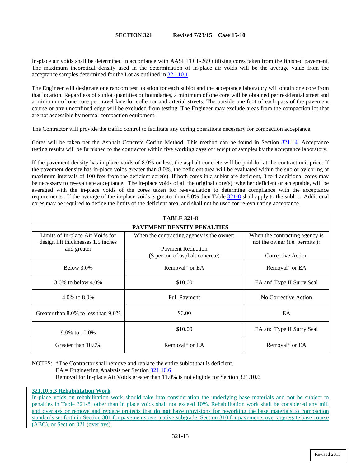In-place air voids shall be determined in accordance with AASHTO T-269 utilizing cores taken from the finished pavement. The maximum theoretical density used in the determination of in-place air voids will be the average value from the acceptance samples determined for the Lot as outlined in [321.10.1.](#page--1-0)

The Engineer will designate one random test location for each sublot and the acceptance laboratory will obtain one core from that location. Regardless of sublot quantities or boundaries, a minimum of one core will be obtained per residential street and a minimum of one core per travel lane for collector and arterial streets. The outside one foot of each pass of the pavement course or any unconfined edge will be excluded from testing. The Engineer may exclude areas from the compaction lot that are not accessible by normal compaction equipment.

The Contractor will provide the traffic control to facilitate any coring operations necessary for compaction acceptance.

Cores will be taken per the Asphalt Concrete Coring Method. This method can be found in Section [321.14.](#page--1-1) Acceptance testing results will be furnished to the contractor within five working days of receipt of samples by the acceptance laboratory.

If the pavement density has in-place voids of 8.0% or less, the asphalt concrete will be paid for at the contract unit price. If the pavement density has in-place voids greater than 8.0%, the deficient area will be evaluated within the sublot by coring at maximum intervals of 100 feet from the deficient core(s). If both cores in a sublot are deficient, 3 to 4 additional cores may be necessary to re-evaluate acceptance. The in-place voids of all the original core(s), whether deficient or acceptable, will be averaged with the in-place voids of the cores taken for re-evaluation to determine compliance with the acceptance requirements. If the average of the in-place voids is greater than 8.0% then Table 321-8 shall apply to the sublot. Additional cores may be required to define the limits of the deficient area, and shall not be used for re-evaluating acceptance.

| <b>TABLE 321-8</b>                                                     |                                           |                                                                          |  |  |  |  |
|------------------------------------------------------------------------|-------------------------------------------|--------------------------------------------------------------------------|--|--|--|--|
| <b>PAVEMENT DENSITY PENALTIES</b>                                      |                                           |                                                                          |  |  |  |  |
| Limits of In-place Air Voids for<br>design lift thicknesses 1.5 inches | When the contracting agency is the owner: | When the contracting agency is<br>not the owner ( <i>i.e.</i> permits ): |  |  |  |  |
| and greater                                                            | <b>Payment Reduction</b>                  |                                                                          |  |  |  |  |
|                                                                        | (\$ per ton of asphalt concrete)          | Corrective Action                                                        |  |  |  |  |
| Below $3.0\%$                                                          | Removal* or EA                            | Removal* or EA                                                           |  |  |  |  |
| 3.0\% to below $4.0\%$                                                 | \$10.00                                   | EA and Type II Surry Seal                                                |  |  |  |  |
| 4.0\% to $8.0\%$                                                       | <b>Full Payment</b>                       | No Corrective Action                                                     |  |  |  |  |
| Greater than 8.0% to less than 9.0%                                    | \$6.00                                    | EA                                                                       |  |  |  |  |
| 9.0% to 10.0%                                                          | \$10.00                                   | EA and Type II Surry Seal                                                |  |  |  |  |
| Greater than 10.0%                                                     | Removal* or EA                            | Removal* or EA                                                           |  |  |  |  |

NOTES: \*The Contractor shall remove and replace the entire sublot that is deficient.

<span id="page-2-0"></span>EA = Engineering Analysis per Section [321.10.6](#page-2-0)

Removal for In-place Air Voids greater than 11.0% is not eligible for Sectio[n 321.10.6.](#page-2-0)

## **321.10.5.3 Rehabilitation Work**

In-place voids on rehabilitation work should take into consideration the underlying base materials and not be subject to penalties in Table 321-8, other than in place voids shall not exceed 10%. Rehabilitation work shall be considered any mill and overlays or remove and replace projects that **do not** have provisions for reworking the base materials to compaction standards set forth in Section 301 for pavements over native subgrade, Section 310 for pavements over aggregate base course (ABC), or Section 321 (overlays).